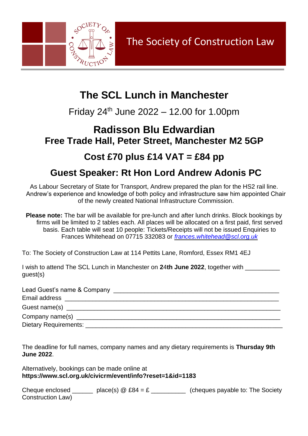

## **The SCL Lunch in Manchester**

Friday  $24^{th}$  June  $2022 - 12.00$  for 1.00pm

#### **Radisson Blu Edwardian Free Trade Hall, Peter Street, Manchester M2 5GP**

### **Cost £70 plus £14 VAT = £84 pp**

#### **Guest Speaker: Rt Hon Lord Andrew Adonis PC**

As Labour Secretary of State for Transport, Andrew prepared the plan for the HS2 rail line. Andrew's experience and knowledge of both policy and infrastructure saw him appointed Chair of the newly created National Infrastructure Commission.

**Please note:** The bar will be available for pre-lunch and after lunch drinks. Block bookings by firms will be limited to 2 tables each. All places will be allocated on a first paid, first served basis. Each table will seat 10 people: Tickets/Receipts will not be issued Enquiries to Frances Whitehead on 07715 332083 or *[frances.whitehead@scl.org.uk](mailto:frances.whitehead@scl.org.uk)*

To: The Society of Construction Law at 114 Pettits Lane, Romford, Essex RM1 4EJ

I wish to attend The SCL Lunch in Manchester on **2**4**th June 2022**, together with \_\_\_\_\_\_\_\_\_\_ guest(s)

| Lead Guest's name & Company research and the control of the control of the control of the control of the control of the control of the control of the control of the control of the control of the control of the control of t |
|--------------------------------------------------------------------------------------------------------------------------------------------------------------------------------------------------------------------------------|
| Email address                                                                                                                                                                                                                  |
|                                                                                                                                                                                                                                |
| Company name(s) _______________                                                                                                                                                                                                |
| Dietary Requirements: 2008 and 2008 and 2008 and 2008 and 2008 and 2008 and 2008 and 2008 and 2008 and 2008 and 2008 and 2008 and 2008 and 2008 and 2008 and 2008 and 2008 and 2008 and 2008 and 2008 and 2008 and 2008 and 20 |

The deadline for full names, company names and any dietary requirements is **Thursday 9th June 2022**.

Alternatively, bookings can be made online at **<https://www.scl.org.uk/civicrm/event/info?reset=1&id=1183>**

Cheque enclosed \_\_\_\_\_\_ place(s)  $@E84 = E$  \_\_\_\_\_\_\_\_\_ (cheques payable to: The Society Construction Law)